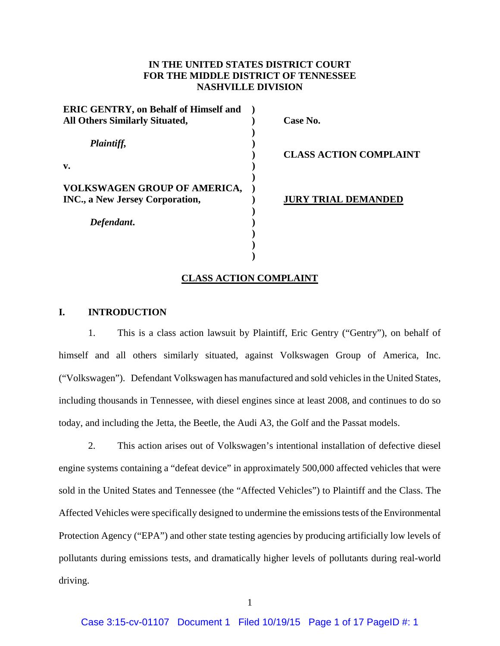## **IN THE UNITED STATES DISTRICT COURT FOR THE MIDDLE DISTRICT OF TENNESSEE NASHVILLE DIVISION**

| <b>ERIC GENTRY, on Behalf of Himself and</b> |                               |
|----------------------------------------------|-------------------------------|
| <b>All Others Similarly Situated,</b>        | Case No.                      |
| Plaintiff,                                   | <b>CLASS ACTION COMPLAINT</b> |
| v.                                           |                               |
| <b>VOLKSWAGEN GROUP OF AMERICA,</b>          |                               |
| <b>INC., a New Jersey Corporation,</b>       | URY TRIAL DEMANDED            |
| Defendant.                                   |                               |
|                                              |                               |
|                                              |                               |

#### **CLASS ACTION COMPLAINT**

#### **I. INTRODUCTION**

1. This is a class action lawsuit by Plaintiff, Eric Gentry ("Gentry"), on behalf of himself and all others similarly situated, against Volkswagen Group of America, Inc. ("Volkswagen"). Defendant Volkswagen has manufactured and sold vehicles in the United States, including thousands in Tennessee, with diesel engines since at least 2008, and continues to do so today, and including the Jetta, the Beetle, the Audi A3, the Golf and the Passat models.

2. This action arises out of Volkswagen's intentional installation of defective diesel engine systems containing a "defeat device" in approximately 500,000 affected vehicles that were sold in the United States and Tennessee (the "Affected Vehicles") to Plaintiff and the Class. The Affected Vehicles were specifically designed to undermine the emissions tests of the Environmental Protection Agency ("EPA") and other state testing agencies by producing artificially low levels of pollutants during emissions tests, and dramatically higher levels of pollutants during real-world driving.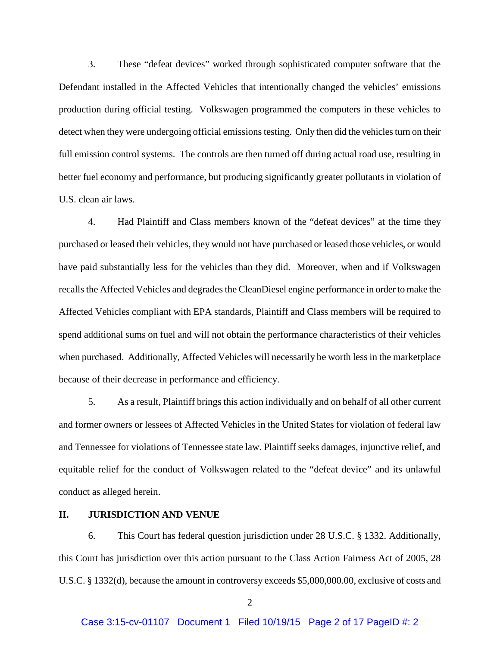3. These "defeat devices" worked through sophisticated computer software that the Defendant installed in the Affected Vehicles that intentionally changed the vehicles' emissions production during official testing. Volkswagen programmed the computers in these vehicles to detect when they were undergoing official emissions testing. Only then did the vehicles turn on their full emission control systems. The controls are then turned off during actual road use, resulting in better fuel economy and performance, but producing significantly greater pollutants in violation of U.S. clean air laws.

4. Had Plaintiff and Class members known of the "defeat devices" at the time they purchased or leased their vehicles, they would not have purchased or leased those vehicles, or would have paid substantially less for the vehicles than they did. Moreover, when and if Volkswagen recalls the Affected Vehicles and degrades the CleanDiesel engine performance in order to make the Affected Vehicles compliant with EPA standards, Plaintiff and Class members will be required to spend additional sums on fuel and will not obtain the performance characteristics of their vehicles when purchased. Additionally, Affected Vehicles will necessarily be worth less in the marketplace because of their decrease in performance and efficiency.

5. As a result, Plaintiff brings this action individually and on behalf of all other current and former owners or lessees of Affected Vehicles in the United States for violation of federal law and Tennessee for violations of Tennessee state law. Plaintiff seeks damages, injunctive relief, and equitable relief for the conduct of Volkswagen related to the "defeat device" and its unlawful conduct as alleged herein.

## **II. JURISDICTION AND VENUE**

6. This Court has federal question jurisdiction under 28 U.S.C. § 1332. Additionally, this Court has jurisdiction over this action pursuant to the Class Action Fairness Act of 2005, 28 U.S.C. § 1332(d), because the amount in controversy exceeds \$5,000,000.00, exclusive of costs and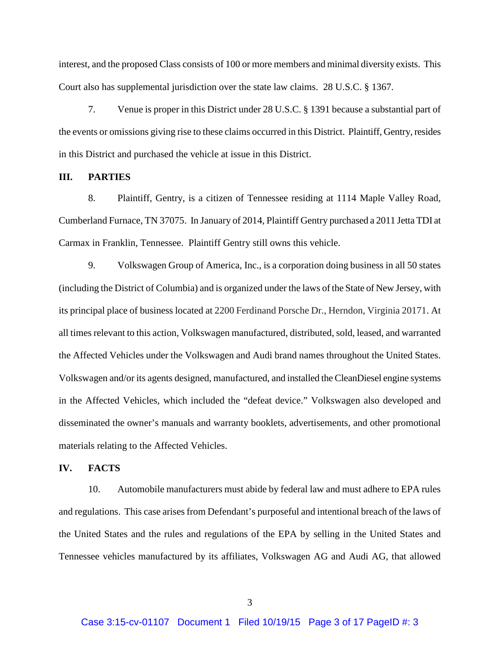interest, and the proposed Class consists of 100 or more members and minimal diversity exists. This Court also has supplemental jurisdiction over the state law claims. 28 U.S.C. § 1367.

7. Venue is proper in this District under 28 U.S.C. § 1391 because a substantial part of the events or omissions giving rise to these claims occurred in this District. Plaintiff, Gentry, resides in this District and purchased the vehicle at issue in this District.

#### **III. PARTIES**

8. Plaintiff, Gentry, is a citizen of Tennessee residing at 1114 Maple Valley Road, Cumberland Furnace, TN 37075. In January of 2014, Plaintiff Gentry purchased a 2011 Jetta TDI at Carmax in Franklin, Tennessee. Plaintiff Gentry still owns this vehicle.

9. Volkswagen Group of America, Inc., is a corporation doing business in all 50 states (including the District of Columbia) and is organized under the laws of the State of New Jersey, with its principal place of business located at 2200 Ferdinand Porsche Dr., Herndon, Virginia 20171. At all times relevant to this action, Volkswagen manufactured, distributed, sold, leased, and warranted the Affected Vehicles under the Volkswagen and Audi brand names throughout the United States. Volkswagen and/or its agents designed, manufactured, and installed the CleanDiesel engine systems in the Affected Vehicles, which included the "defeat device." Volkswagen also developed and disseminated the owner's manuals and warranty booklets, advertisements, and other promotional materials relating to the Affected Vehicles.

## **IV. FACTS**

10. Automobile manufacturers must abide by federal law and must adhere to EPA rules and regulations. This case arises from Defendant's purposeful and intentional breach of the laws of the United States and the rules and regulations of the EPA by selling in the United States and Tennessee vehicles manufactured by its affiliates, Volkswagen AG and Audi AG, that allowed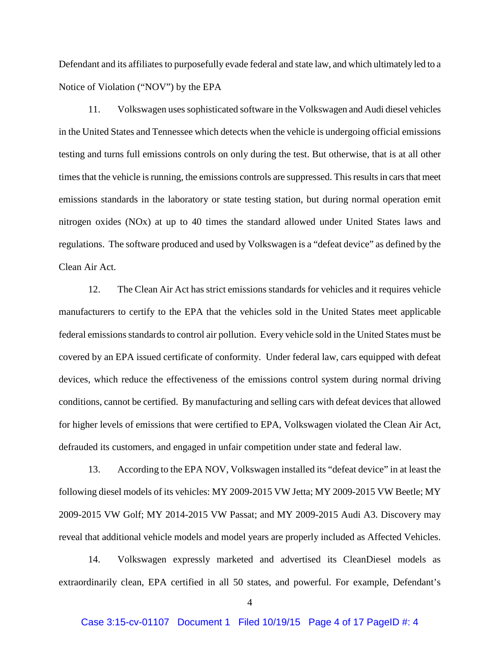Defendant and its affiliates to purposefully evade federal and state law, and which ultimately led to a Notice of Violation ("NOV") by the EPA

11. Volkswagen uses sophisticated software in the Volkswagen and Audi diesel vehicles in the United States and Tennessee which detects when the vehicle is undergoing official emissions testing and turns full emissions controls on only during the test. But otherwise, that is at all other times that the vehicle is running, the emissions controls are suppressed. This results in cars that meet emissions standards in the laboratory or state testing station, but during normal operation emit nitrogen oxides (NOx) at up to 40 times the standard allowed under United States laws and regulations. The software produced and used by Volkswagen is a "defeat device" as defined by the Clean Air Act.

12. The Clean Air Act has strict emissions standards for vehicles and it requires vehicle manufacturers to certify to the EPA that the vehicles sold in the United States meet applicable federal emissions standards to control air pollution. Every vehicle sold in the United States must be covered by an EPA issued certificate of conformity. Under federal law, cars equipped with defeat devices, which reduce the effectiveness of the emissions control system during normal driving conditions, cannot be certified. By manufacturing and selling cars with defeat devices that allowed for higher levels of emissions that were certified to EPA, Volkswagen violated the Clean Air Act, defrauded its customers, and engaged in unfair competition under state and federal law.

13. According to the EPA NOV, Volkswagen installed its "defeat device" in at least the following diesel models of its vehicles: MY 2009-2015 VW Jetta; MY 2009-2015 VW Beetle; MY 2009-2015 VW Golf; MY 2014-2015 VW Passat; and MY 2009-2015 Audi A3. Discovery may reveal that additional vehicle models and model years are properly included as Affected Vehicles.

14. Volkswagen expressly marketed and advertised its CleanDiesel models as extraordinarily clean, EPA certified in all 50 states, and powerful. For example, Defendant's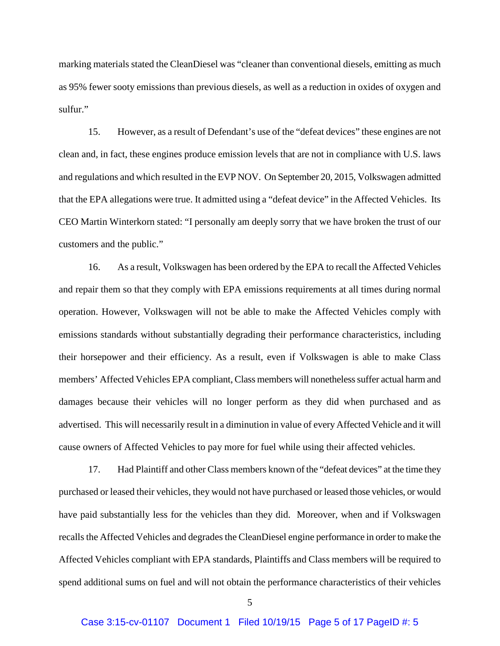marking materials stated the CleanDiesel was "cleaner than conventional diesels, emitting as much as 95% fewer sooty emissions than previous diesels, as well as a reduction in oxides of oxygen and sulfur."

15. However, as a result of Defendant's use of the "defeat devices" these engines are not clean and, in fact, these engines produce emission levels that are not in compliance with U.S. laws and regulations and which resulted in the EVP NOV. On September 20, 2015, Volkswagen admitted that the EPA allegations were true. It admitted using a "defeat device" in the Affected Vehicles. Its CEO Martin Winterkorn stated: "I personally am deeply sorry that we have broken the trust of our customers and the public."

16. As a result, Volkswagen has been ordered by the EPA to recall the Affected Vehicles and repair them so that they comply with EPA emissions requirements at all times during normal operation. However, Volkswagen will not be able to make the Affected Vehicles comply with emissions standards without substantially degrading their performance characteristics, including their horsepower and their efficiency. As a result, even if Volkswagen is able to make Class members' Affected Vehicles EPA compliant, Class members will nonetheless suffer actual harm and damages because their vehicles will no longer perform as they did when purchased and as advertised. This will necessarily result in a diminution in value of every Affected Vehicle and it will cause owners of Affected Vehicles to pay more for fuel while using their affected vehicles.

17. Had Plaintiff and other Class members known of the "defeat devices" at the time they purchased or leased their vehicles, they would not have purchased or leased those vehicles, or would have paid substantially less for the vehicles than they did. Moreover, when and if Volkswagen recalls the Affected Vehicles and degrades the CleanDiesel engine performance in order to make the Affected Vehicles compliant with EPA standards, Plaintiffs and Class members will be required to spend additional sums on fuel and will not obtain the performance characteristics of their vehicles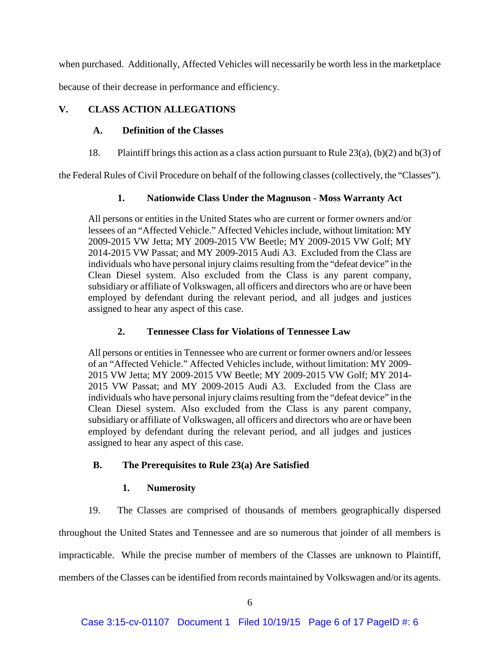when purchased. Additionally, Affected Vehicles will necessarily be worth less in the marketplace

because of their decrease in performance and efficiency.

## **V. CLASS ACTION ALLEGATIONS**

## **A. Definition of the Classes**

18. Plaintiff brings this action as a class action pursuant to Rule 23(a), (b)(2) and b(3) of

the Federal Rules of Civil Procedure on behalf of the following classes (collectively, the "Classes").

## **1. Nationwide Class Under the Magnuson - Moss Warranty Act**

All persons or entities in the United States who are current or former owners and/or lessees of an "Affected Vehicle." Affected Vehicles include, without limitation: MY 2009-2015 VW Jetta; MY 2009-2015 VW Beetle; MY 2009-2015 VW Golf; MY 2014-2015 VW Passat; and MY 2009-2015 Audi A3. Excluded from the Class are individuals who have personal injury claims resulting from the "defeat device" in the Clean Diesel system. Also excluded from the Class is any parent company, subsidiary or affiliate of Volkswagen, all officers and directors who are or have been employed by defendant during the relevant period, and all judges and justices assigned to hear any aspect of this case.

## **2. Tennessee Class for Violations of Tennessee Law**

All persons or entities in Tennessee who are current or former owners and/or lessees of an "Affected Vehicle." Affected Vehicles include, without limitation: MY 2009- 2015 VW Jetta; MY 2009-2015 VW Beetle; MY 2009-2015 VW Golf; MY 2014- 2015 VW Passat; and MY 2009-2015 Audi A3. Excluded from the Class are individuals who have personal injury claims resulting from the "defeat device" in the Clean Diesel system. Also excluded from the Class is any parent company, subsidiary or affiliate of Volkswagen, all officers and directors who are or have been employed by defendant during the relevant period, and all judges and justices assigned to hear any aspect of this case.

## **B. The Prerequisites to Rule 23(a) Are Satisfied**

## **1. Numerosity**

19. The Classes are comprised of thousands of members geographically dispersed

throughout the United States and Tennessee and are so numerous that joinder of all members is

impracticable. While the precise number of members of the Classes are unknown to Plaintiff,

members of the Classes can be identified from records maintained by Volkswagen and/or its agents.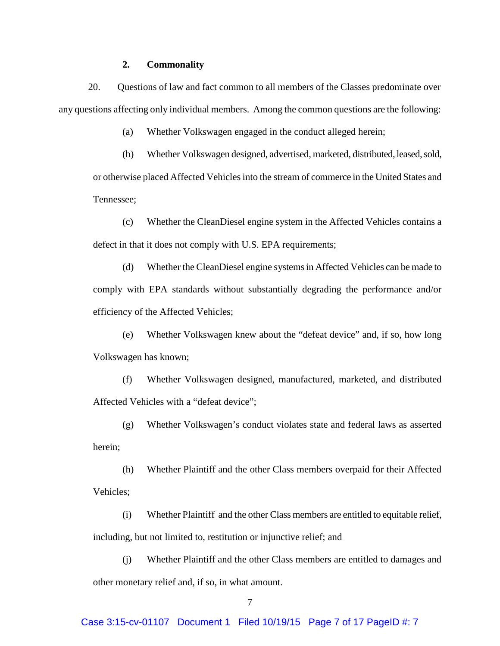### **2. Commonality**

20. Questions of law and fact common to all members of the Classes predominate over any questions affecting only individual members. Among the common questions are the following:

(a) Whether Volkswagen engaged in the conduct alleged herein;

(b) Whether Volkswagen designed, advertised, marketed, distributed, leased, sold, or otherwise placed Affected Vehicles into the stream of commerce in the United States and Tennessee;

(c) Whether the CleanDiesel engine system in the Affected Vehicles contains a defect in that it does not comply with U.S. EPA requirements;

(d) Whether the CleanDiesel engine systems in Affected Vehicles can be made to comply with EPA standards without substantially degrading the performance and/or efficiency of the Affected Vehicles;

(e) Whether Volkswagen knew about the "defeat device" and, if so, how long Volkswagen has known;

(f) Whether Volkswagen designed, manufactured, marketed, and distributed Affected Vehicles with a "defeat device";

(g) Whether Volkswagen's conduct violates state and federal laws as asserted herein;

(h) Whether Plaintiff and the other Class members overpaid for their Affected Vehicles;

(i) Whether Plaintiff and the other Class members are entitled to equitable relief, including, but not limited to, restitution or injunctive relief; and

(j) Whether Plaintiff and the other Class members are entitled to damages and other monetary relief and, if so, in what amount.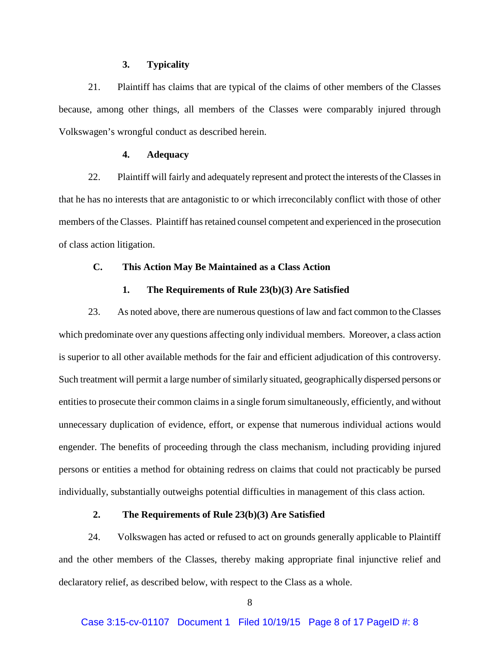#### **3. Typicality**

21. Plaintiff has claims that are typical of the claims of other members of the Classes because, among other things, all members of the Classes were comparably injured through Volkswagen's wrongful conduct as described herein.

### **4. Adequacy**

22. Plaintiff will fairly and adequately represent and protect the interests of the Classes in that he has no interests that are antagonistic to or which irreconcilably conflict with those of other members of the Classes. Plaintiff has retained counsel competent and experienced in the prosecution of class action litigation.

## **C. This Action May Be Maintained as a Class Action**

#### **1. The Requirements of Rule 23(b)(3) Are Satisfied**

23. As noted above, there are numerous questions of law and fact common to the Classes which predominate over any questions affecting only individual members. Moreover, a class action is superior to all other available methods for the fair and efficient adjudication of this controversy. Such treatment will permit a large number of similarly situated, geographically dispersed persons or entities to prosecute their common claims in a single forum simultaneously, efficiently, and without unnecessary duplication of evidence, effort, or expense that numerous individual actions would engender. The benefits of proceeding through the class mechanism, including providing injured persons or entities a method for obtaining redress on claims that could not practicably be pursed individually, substantially outweighs potential difficulties in management of this class action.

## **2. The Requirements of Rule 23(b)(3) Are Satisfied**

24. Volkswagen has acted or refused to act on grounds generally applicable to Plaintiff and the other members of the Classes, thereby making appropriate final injunctive relief and declaratory relief, as described below, with respect to the Class as a whole.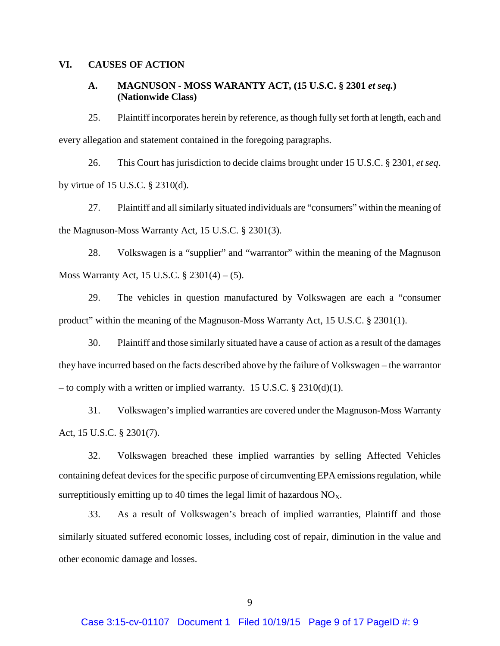## **VI. CAUSES OF ACTION**

## **A. MAGNUSON - MOSS WARANTY ACT, (15 U.S.C. § 2301** *et seq.***) (Nationwide Class)**

25. Plaintiff incorporates herein by reference, as though fully set forth at length, each and every allegation and statement contained in the foregoing paragraphs.

26. This Court has jurisdiction to decide claims brought under 15 U.S.C. § 2301, *et seq*. by virtue of 15 U.S.C. § 2310(d).

27. Plaintiff and all similarly situated individuals are "consumers" within the meaning of the Magnuson-Moss Warranty Act, 15 U.S.C. § 2301(3).

28. Volkswagen is a "supplier" and "warrantor" within the meaning of the Magnuson Moss Warranty Act, 15 U.S.C. § 2301(4) – (5).

29. The vehicles in question manufactured by Volkswagen are each a "consumer product" within the meaning of the Magnuson-Moss Warranty Act, 15 U.S.C. § 2301(1).

30. Plaintiff and those similarly situated have a cause of action as a result of the damages they have incurred based on the facts described above by the failure of Volkswagen – the warrantor – to comply with a written or implied warranty. 15 U.S.C.  $\S 2310(d)(1)$ .

31. Volkswagen's implied warranties are covered under the Magnuson-Moss Warranty Act, 15 U.S.C. § 2301(7).

32. Volkswagen breached these implied warranties by selling Affected Vehicles containing defeat devices for the specific purpose of circumventing EPA emissions regulation, while surreptitiously emitting up to 40 times the legal limit of hazardous  $NO<sub>X</sub>$ .

33. As a result of Volkswagen's breach of implied warranties, Plaintiff and those similarly situated suffered economic losses, including cost of repair, diminution in the value and other economic damage and losses.

9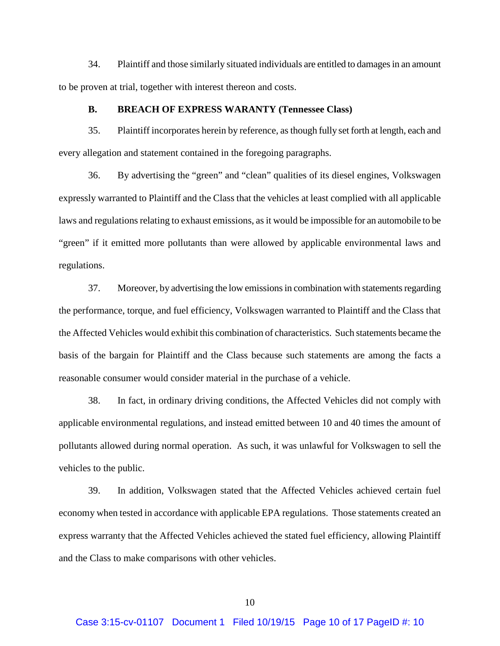34. Plaintiff and those similarly situated individuals are entitled to damages in an amount to be proven at trial, together with interest thereon and costs.

### **B. BREACH OF EXPRESS WARANTY (Tennessee Class)**

35. Plaintiff incorporates herein by reference, as though fully set forth at length, each and every allegation and statement contained in the foregoing paragraphs.

36. By advertising the "green" and "clean" qualities of its diesel engines, Volkswagen expressly warranted to Plaintiff and the Class that the vehicles at least complied with all applicable laws and regulations relating to exhaust emissions, as it would be impossible for an automobile to be "green" if it emitted more pollutants than were allowed by applicable environmental laws and regulations.

37. Moreover, by advertising the low emissions in combination with statements regarding the performance, torque, and fuel efficiency, Volkswagen warranted to Plaintiff and the Class that the Affected Vehicles would exhibit this combination of characteristics. Such statements became the basis of the bargain for Plaintiff and the Class because such statements are among the facts a reasonable consumer would consider material in the purchase of a vehicle.

38. In fact, in ordinary driving conditions, the Affected Vehicles did not comply with applicable environmental regulations, and instead emitted between 10 and 40 times the amount of pollutants allowed during normal operation. As such, it was unlawful for Volkswagen to sell the vehicles to the public.

39. In addition, Volkswagen stated that the Affected Vehicles achieved certain fuel economy when tested in accordance with applicable EPA regulations. Those statements created an express warranty that the Affected Vehicles achieved the stated fuel efficiency, allowing Plaintiff and the Class to make comparisons with other vehicles.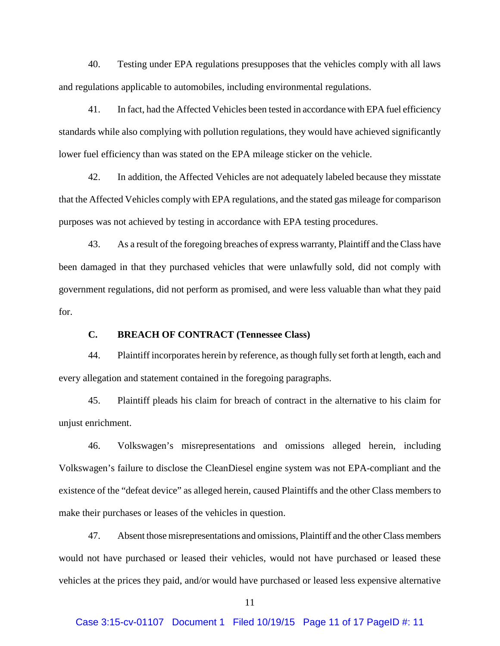40. Testing under EPA regulations presupposes that the vehicles comply with all laws and regulations applicable to automobiles, including environmental regulations.

41. In fact, had the Affected Vehicles been tested in accordance with EPA fuel efficiency standards while also complying with pollution regulations, they would have achieved significantly lower fuel efficiency than was stated on the EPA mileage sticker on the vehicle.

42. In addition, the Affected Vehicles are not adequately labeled because they misstate that the Affected Vehicles comply with EPA regulations, and the stated gas mileage for comparison purposes was not achieved by testing in accordance with EPA testing procedures.

43. As a result of the foregoing breaches of express warranty, Plaintiff and the Class have been damaged in that they purchased vehicles that were unlawfully sold, did not comply with government regulations, did not perform as promised, and were less valuable than what they paid for.

## **C. BREACH OF CONTRACT (Tennessee Class)**

44. Plaintiff incorporates herein by reference, as though fully set forth at length, each and every allegation and statement contained in the foregoing paragraphs.

45. Plaintiff pleads his claim for breach of contract in the alternative to his claim for unjust enrichment.

46. Volkswagen's misrepresentations and omissions alleged herein, including Volkswagen's failure to disclose the CleanDiesel engine system was not EPA-compliant and the existence of the "defeat device" as alleged herein, caused Plaintiffs and the other Class members to make their purchases or leases of the vehicles in question.

47. Absent those misrepresentations and omissions, Plaintiff and the other Class members would not have purchased or leased their vehicles, would not have purchased or leased these vehicles at the prices they paid, and/or would have purchased or leased less expensive alternative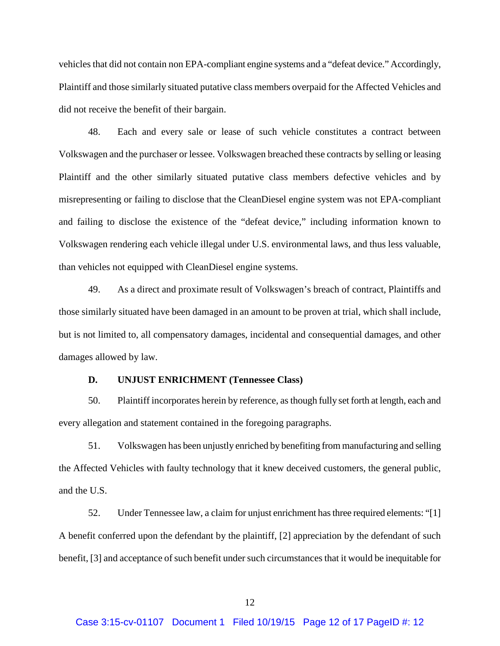vehicles that did not contain non EPA-compliant engine systems and a "defeat device." Accordingly, Plaintiff and those similarly situated putative class members overpaid for the Affected Vehicles and did not receive the benefit of their bargain.

48. Each and every sale or lease of such vehicle constitutes a contract between Volkswagen and the purchaser or lessee. Volkswagen breached these contracts by selling or leasing Plaintiff and the other similarly situated putative class members defective vehicles and by misrepresenting or failing to disclose that the CleanDiesel engine system was not EPA-compliant and failing to disclose the existence of the "defeat device," including information known to Volkswagen rendering each vehicle illegal under U.S. environmental laws, and thus less valuable, than vehicles not equipped with CleanDiesel engine systems.

49. As a direct and proximate result of Volkswagen's breach of contract, Plaintiffs and those similarly situated have been damaged in an amount to be proven at trial, which shall include, but is not limited to, all compensatory damages, incidental and consequential damages, and other damages allowed by law.

#### **D. UNJUST ENRICHMENT (Tennessee Class)**

50. Plaintiff incorporates herein by reference, as though fully set forth at length, each and every allegation and statement contained in the foregoing paragraphs.

51. Volkswagen has been unjustly enriched by benefiting from manufacturing and selling the Affected Vehicles with faulty technology that it knew deceived customers, the general public, and the U.S.

52. Under Tennessee law, a claim for unjust enrichment has three required elements: "[1] A benefit conferred upon the defendant by the plaintiff, [2] appreciation by the defendant of such benefit, [3] and acceptance of such benefit under such circumstances that it would be inequitable for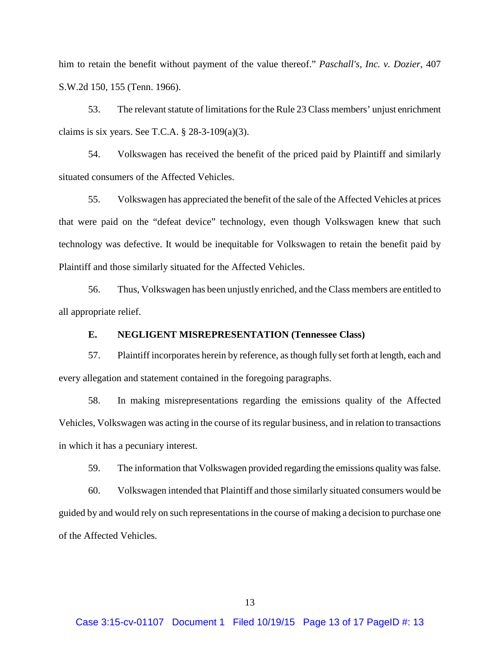him to retain the benefit without payment of the value thereof." *Paschall's, Inc. v. Dozier*, 407 S.W.2d 150, 155 (Tenn. 1966).

53. The relevant statute of limitations for the Rule 23 Class members' unjust enrichment claims is six years. See T.C.A.  $\S$  28-3-109(a)(3).

54. Volkswagen has received the benefit of the priced paid by Plaintiff and similarly situated consumers of the Affected Vehicles.

55. Volkswagen has appreciated the benefit of the sale of the Affected Vehicles at prices that were paid on the "defeat device" technology, even though Volkswagen knew that such technology was defective. It would be inequitable for Volkswagen to retain the benefit paid by Plaintiff and those similarly situated for the Affected Vehicles.

56. Thus, Volkswagen has been unjustly enriched, and the Class members are entitled to all appropriate relief.

## **E. NEGLIGENT MISREPRESENTATION (Tennessee Class)**

57. Plaintiff incorporates herein by reference, as though fully set forth at length, each and every allegation and statement contained in the foregoing paragraphs.

58. In making misrepresentations regarding the emissions quality of the Affected Vehicles, Volkswagen was acting in the course of its regular business, and in relation to transactions in which it has a pecuniary interest.

59. The information that Volkswagen provided regarding the emissions quality was false.

60. Volkswagen intended that Plaintiff and those similarly situated consumers would be guided by and would rely on such representations in the course of making a decision to purchase one of the Affected Vehicles.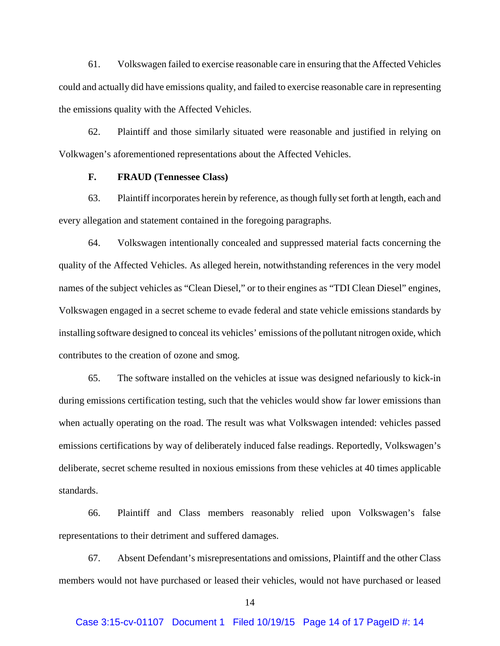61. Volkswagen failed to exercise reasonable care in ensuring that the Affected Vehicles could and actually did have emissions quality, and failed to exercise reasonable care in representing the emissions quality with the Affected Vehicles.

62. Plaintiff and those similarly situated were reasonable and justified in relying on Volkwagen's aforementioned representations about the Affected Vehicles.

## **F. FRAUD (Tennessee Class)**

63. Plaintiff incorporates herein by reference, as though fully set forth at length, each and every allegation and statement contained in the foregoing paragraphs.

64. Volkswagen intentionally concealed and suppressed material facts concerning the quality of the Affected Vehicles. As alleged herein, notwithstanding references in the very model names of the subject vehicles as "Clean Diesel," or to their engines as "TDI Clean Diesel" engines, Volkswagen engaged in a secret scheme to evade federal and state vehicle emissions standards by installing software designed to conceal its vehicles' emissions of the pollutant nitrogen oxide, which contributes to the creation of ozone and smog.

65. The software installed on the vehicles at issue was designed nefariously to kick-in during emissions certification testing, such that the vehicles would show far lower emissions than when actually operating on the road. The result was what Volkswagen intended: vehicles passed emissions certifications by way of deliberately induced false readings. Reportedly, Volkswagen's deliberate, secret scheme resulted in noxious emissions from these vehicles at 40 times applicable standards.

66. Plaintiff and Class members reasonably relied upon Volkswagen's false representations to their detriment and suffered damages.

67. Absent Defendant's misrepresentations and omissions, Plaintiff and the other Class members would not have purchased or leased their vehicles, would not have purchased or leased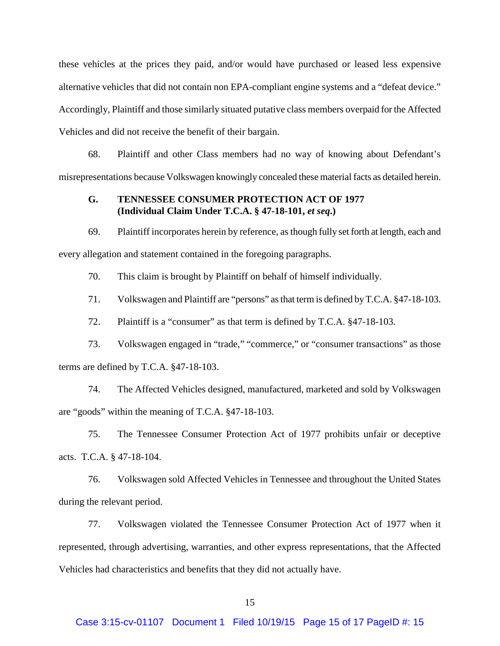these vehicles at the prices they paid, and/or would have purchased or leased less expensive alternative vehicles that did not contain non EPA-compliant engine systems and a "defeat device." Accordingly, Plaintiff and those similarly situated putative class members overpaid for the Affected Vehicles and did not receive the benefit of their bargain.

68. Plaintiff and other Class members had no way of knowing about Defendant's misrepresentations because Volkswagen knowingly concealed these material facts as detailed herein.

## **G. TENNESSEE CONSUMER PROTECTION ACT OF 1977 (Individual Claim Under T.C.A. § 47-18-101,** *et seq***.)**

69. Plaintiff incorporates herein by reference, as though fully set forth at length, each and every allegation and statement contained in the foregoing paragraphs.

70. This claim is brought by Plaintiff on behalf of himself individually.

71. Volkswagen and Plaintiff are "persons" as that term is defined by T.C.A. §47-18-103.

72. Plaintiff is a "consumer" as that term is defined by T.C.A. §47-18-103.

73. Volkswagen engaged in "trade," "commerce," or "consumer transactions" as those terms are defined by T.C.A. §47-18-103.

74. The Affected Vehicles designed, manufactured, marketed and sold by Volkswagen are "goods" within the meaning of T.C.A. §47-18-103.

75. The Tennessee Consumer Protection Act of 1977 prohibits unfair or deceptive acts. T.C.A. § 47-18-104.

76. Volkswagen sold Affected Vehicles in Tennessee and throughout the United States during the relevant period.

77. Volkswagen violated the Tennessee Consumer Protection Act of 1977 when it represented, through advertising, warranties, and other express representations, that the Affected Vehicles had characteristics and benefits that they did not actually have.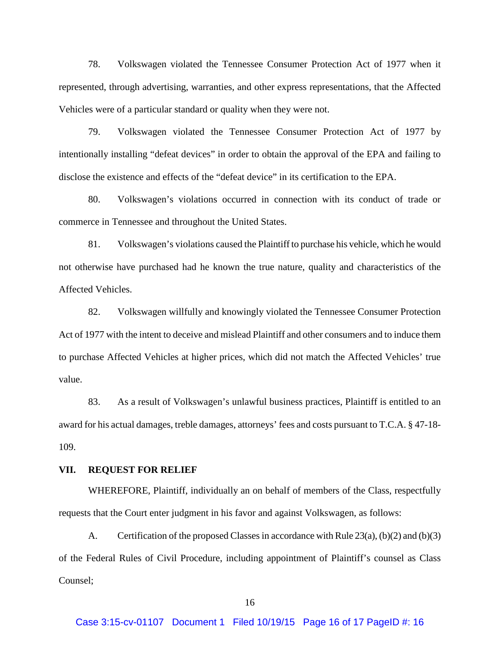78. Volkswagen violated the Tennessee Consumer Protection Act of 1977 when it represented, through advertising, warranties, and other express representations, that the Affected Vehicles were of a particular standard or quality when they were not.

79. Volkswagen violated the Tennessee Consumer Protection Act of 1977 by intentionally installing "defeat devices" in order to obtain the approval of the EPA and failing to disclose the existence and effects of the "defeat device" in its certification to the EPA.

80. Volkswagen's violations occurred in connection with its conduct of trade or commerce in Tennessee and throughout the United States.

81. Volkswagen's violations caused the Plaintiff to purchase his vehicle, which he would not otherwise have purchased had he known the true nature, quality and characteristics of the Affected Vehicles.

82. Volkswagen willfully and knowingly violated the Tennessee Consumer Protection Act of 1977 with the intent to deceive and mislead Plaintiff and other consumers and to induce them to purchase Affected Vehicles at higher prices, which did not match the Affected Vehicles' true value.

83. As a result of Volkswagen's unlawful business practices, Plaintiff is entitled to an award for his actual damages, treble damages, attorneys' fees and costs pursuant to T.C.A. § 47-18- 109.

#### **VII. REQUEST FOR RELIEF**

WHEREFORE, Plaintiff, individually an on behalf of members of the Class, respectfully requests that the Court enter judgment in his favor and against Volkswagen, as follows:

A. Certification of the proposed Classes in accordance with Rule  $23(a)$ , (b)(2) and (b)(3) of the Federal Rules of Civil Procedure, including appointment of Plaintiff's counsel as Class Counsel;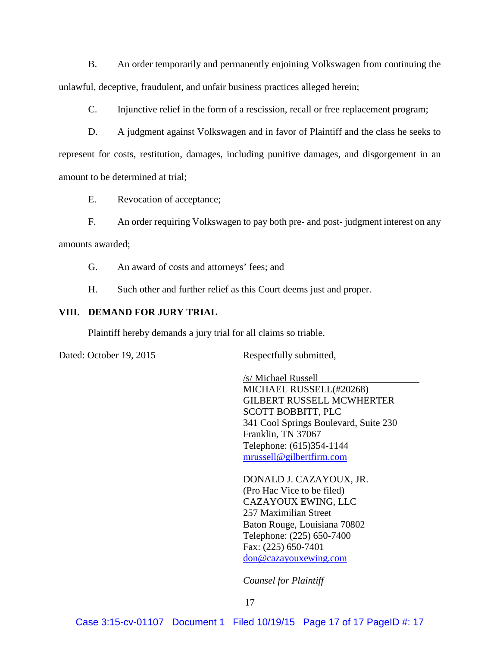B. An order temporarily and permanently enjoining Volkswagen from continuing the unlawful, deceptive, fraudulent, and unfair business practices alleged herein;

C. Injunctive relief in the form of a rescission, recall or free replacement program;

D. A judgment against Volkswagen and in favor of Plaintiff and the class he seeks to represent for costs, restitution, damages, including punitive damages, and disgorgement in an amount to be determined at trial;

E. Revocation of acceptance;

F. An order requiring Volkswagen to pay both pre- and post- judgment interest on any amounts awarded;

G. An award of costs and attorneys' fees; and

H. Such other and further relief as this Court deems just and proper.

### **VIII. DEMAND FOR JURY TRIAL**

Plaintiff hereby demands a jury trial for all claims so triable.

Dated: October 19, 2015 Respectfully submitted,

/s/ Michael Russell MICHAEL RUSSELL(#20268) GILBERT RUSSELL MCWHERTER SCOTT BOBBITT, PLC 341 Cool Springs Boulevard, Suite 230 Franklin, TN 37067 Telephone: (615)354-1144 [mrussell@gilbertfirm.com](mailto:mrussell@gilbertfirm.com)

DONALD J. CAZAYOUX, JR. (Pro Hac Vice to be filed) CAZAYOUX EWING, LLC 257 Maximilian Street Baton Rouge, Louisiana 70802 Telephone: (225) 650-7400 Fax: (225) 650-7401 [don@cazayouxewing.com](mailto:don@cazayouxewing.com)

*Counsel for Plaintiff*